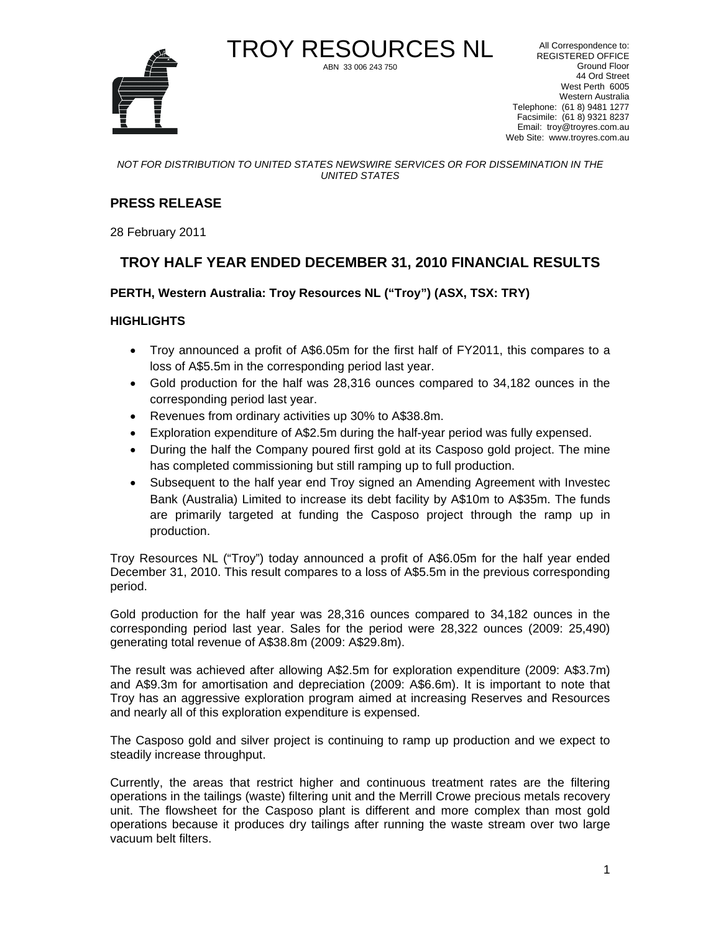

TROY RESOURCES NL All Correspondence to: REGISTERED OFFICE Ground Floor 44 Ord Street West Perth 6005 Western Australia Telephone: (61 8) 9481 1277 Facsimile: (61 8) 9321 8237 Email: troy@troyres.com.au Web Site: www.troyres.com.au

#### *NOT FOR DISTRIBUTION TO UNITED STATES NEWSWIRE SERVICES OR FOR DISSEMINATION IN THE UNITED STATES*

ABN 33 006 243 750

#### **PRESS RELEASE**

28 February 2011

#### **TROY HALF YEAR ENDED DECEMBER 31, 2010 FINANCIAL RESULTS**

**PERTH, Western Australia: Troy Resources NL ("Troy") (ASX, TSX: TRY)** 

#### **HIGHLIGHTS**

- Troy announced a profit of A\$6.05m for the first half of FY2011, this compares to a loss of A\$5.5m in the corresponding period last year.
- Gold production for the half was 28,316 ounces compared to 34,182 ounces in the corresponding period last year.
- Revenues from ordinary activities up 30% to A\$38.8m.
- Exploration expenditure of A\$2.5m during the half-year period was fully expensed.
- During the half the Company poured first gold at its Casposo gold project. The mine has completed commissioning but still ramping up to full production.
- Subsequent to the half year end Troy signed an Amending Agreement with Investec Bank (Australia) Limited to increase its debt facility by A\$10m to A\$35m. The funds are primarily targeted at funding the Casposo project through the ramp up in production.

Troy Resources NL ("Troy") today announced a profit of A\$6.05m for the half year ended December 31, 2010. This result compares to a loss of A\$5.5m in the previous corresponding period.

Gold production for the half year was 28,316 ounces compared to 34,182 ounces in the corresponding period last year. Sales for the period were 28,322 ounces (2009: 25,490) generating total revenue of A\$38.8m (2009: A\$29.8m).

The result was achieved after allowing A\$2.5m for exploration expenditure (2009: A\$3.7m) and A\$9.3m for amortisation and depreciation (2009: A\$6.6m). It is important to note that Troy has an aggressive exploration program aimed at increasing Reserves and Resources and nearly all of this exploration expenditure is expensed.

The Casposo gold and silver project is continuing to ramp up production and we expect to steadily increase throughput.

Currently, the areas that restrict higher and continuous treatment rates are the filtering operations in the tailings (waste) filtering unit and the Merrill Crowe precious metals recovery unit. The flowsheet for the Casposo plant is different and more complex than most gold operations because it produces dry tailings after running the waste stream over two large vacuum belt filters.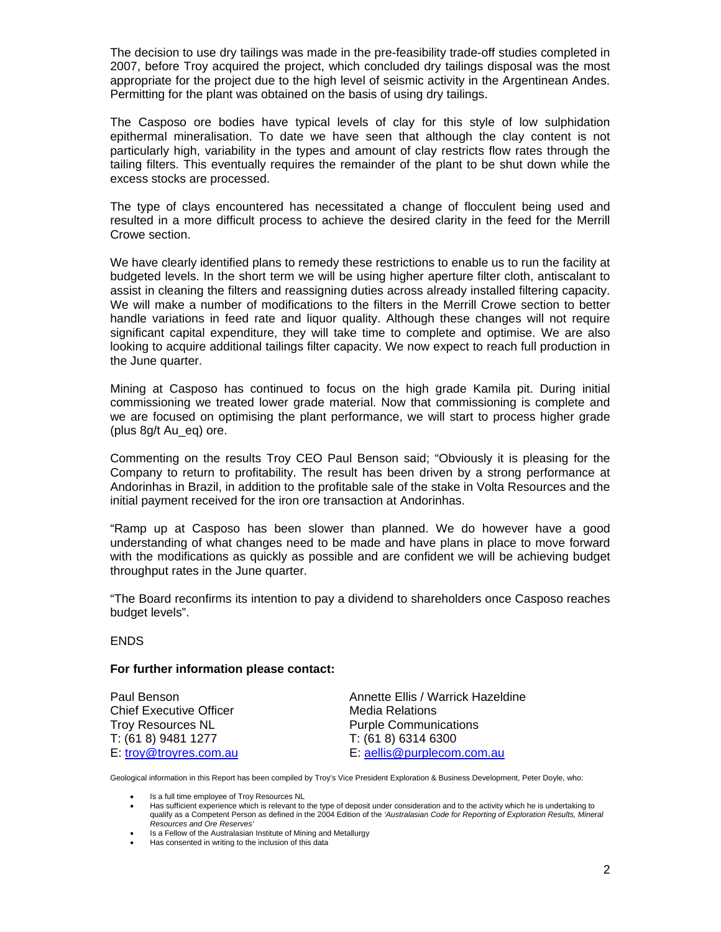The decision to use dry tailings was made in the pre-feasibility trade-off studies completed in 2007, before Troy acquired the project, which concluded dry tailings disposal was the most appropriate for the project due to the high level of seismic activity in the Argentinean Andes. Permitting for the plant was obtained on the basis of using dry tailings.

The Casposo ore bodies have typical levels of clay for this style of low sulphidation epithermal mineralisation. To date we have seen that although the clay content is not particularly high, variability in the types and amount of clay restricts flow rates through the tailing filters. This eventually requires the remainder of the plant to be shut down while the excess stocks are processed.

The type of clays encountered has necessitated a change of flocculent being used and resulted in a more difficult process to achieve the desired clarity in the feed for the Merrill Crowe section.

We have clearly identified plans to remedy these restrictions to enable us to run the facility at budgeted levels. In the short term we will be using higher aperture filter cloth, antiscalant to assist in cleaning the filters and reassigning duties across already installed filtering capacity. We will make a number of modifications to the filters in the Merrill Crowe section to better handle variations in feed rate and liquor quality. Although these changes will not require significant capital expenditure, they will take time to complete and optimise. We are also looking to acquire additional tailings filter capacity. We now expect to reach full production in the June quarter.

Mining at Casposo has continued to focus on the high grade Kamila pit. During initial commissioning we treated lower grade material. Now that commissioning is complete and we are focused on optimising the plant performance, we will start to process higher grade (plus 8g/t Au\_eq) ore.

Commenting on the results Troy CEO Paul Benson said; "Obviously it is pleasing for the Company to return to profitability. The result has been driven by a strong performance at Andorinhas in Brazil, in addition to the profitable sale of the stake in Volta Resources and the initial payment received for the iron ore transaction at Andorinhas.

"Ramp up at Casposo has been slower than planned. We do however have a good understanding of what changes need to be made and have plans in place to move forward with the modifications as quickly as possible and are confident we will be achieving budget throughput rates in the June quarter.

"The Board reconfirms its intention to pay a dividend to shareholders once Casposo reaches budget levels".

#### ENDS

#### **For further information please contact:**

Chief Executive Officer **Media Relations** Troy Resources NL **Purple Communications** T: (61 8) 9481 1277 T: (61 8) 6314 6300

Paul Benson **Annette Ellis / Warrick Hazeldine** E: troy@troyres.com.au E: aellis@purplecom.com.au

Geological information in this Report has been compiled by Troy's Vice President Exploration & Business Development, Peter Doyle, who:

- Is a full time employee of Troy Resources NL
- Has sufficient experience which is relevant to the type of deposit under consideration and to the activity which he is undertaking to qualify as a Competent Person as defined in the 2004 Edition of the *'Australasian Code for Reporting of Exploration Results, Mineral Resources and Ore Reserves'*
- Is a Fellow of the Australasian Institute of Mining and Metallurgy
- Has consented in writing to the inclusion of this data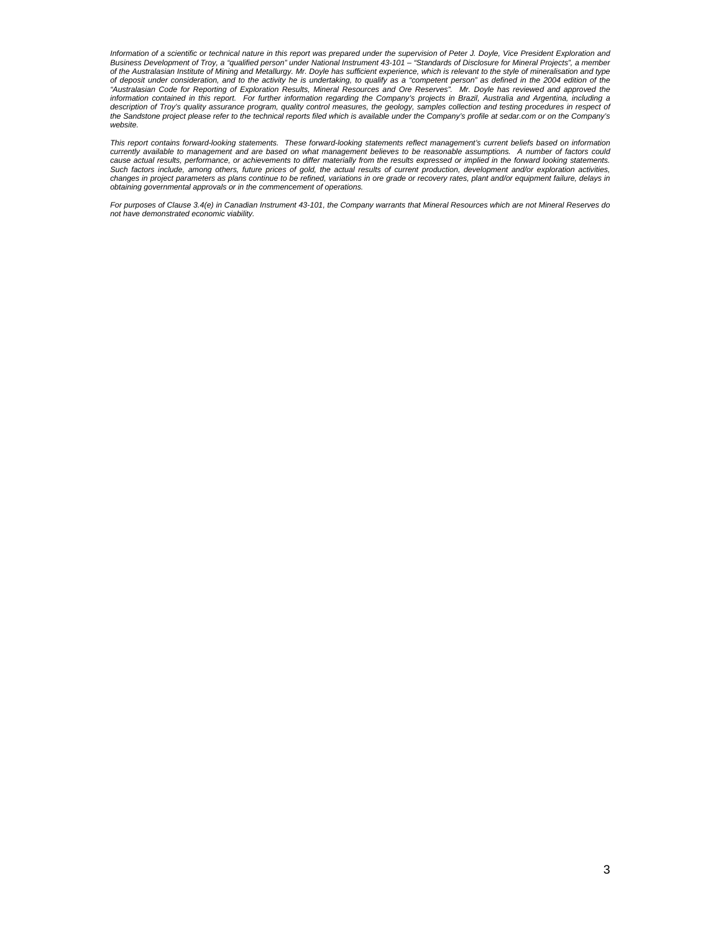Information of a scientific or technical nature in this report was prepared under the supervision of Peter J. Doyle, Vice President Exploration and<br>Business Development of Troy, a "qualified person" under National Instrume *of the Australasian Institute of Mining and Metallurgy. Mr. Doyle has sufficient experience, which is relevant to the style of mineralisation and type*  of deposit under consideration, and to the activity he is undertaking, to qualify as a "competent person" as defined in the 2004 edition of the<br>"Australasian Code for Reporting of Exploration Results, Mineral Resources and the Sandstone project please refer to the technical reports filed which is available under the Company's profile at sedar.com or on the Company's *website.* 

*This report contains forward-looking statements. These forward-looking statements reflect management's current beliefs based on information currently available to management and are based on what management believes to be reasonable assumptions. A number of factors could cause actual results, performance, or achievements to differ materially from the results expressed or implied in the forward looking statements.*  Such factors include, among others, future prices of gold, the actual results of current production, development and/or exploration activities,<br>changes in project parameters as plans continue to be refined, variations in o *obtaining governmental approvals or in the commencement of operations.* 

*For purposes of Clause 3.4(e) in Canadian Instrument 43-101, the Company warrants that Mineral Resources which are not Mineral Reserves do not have demonstrated economic viability.*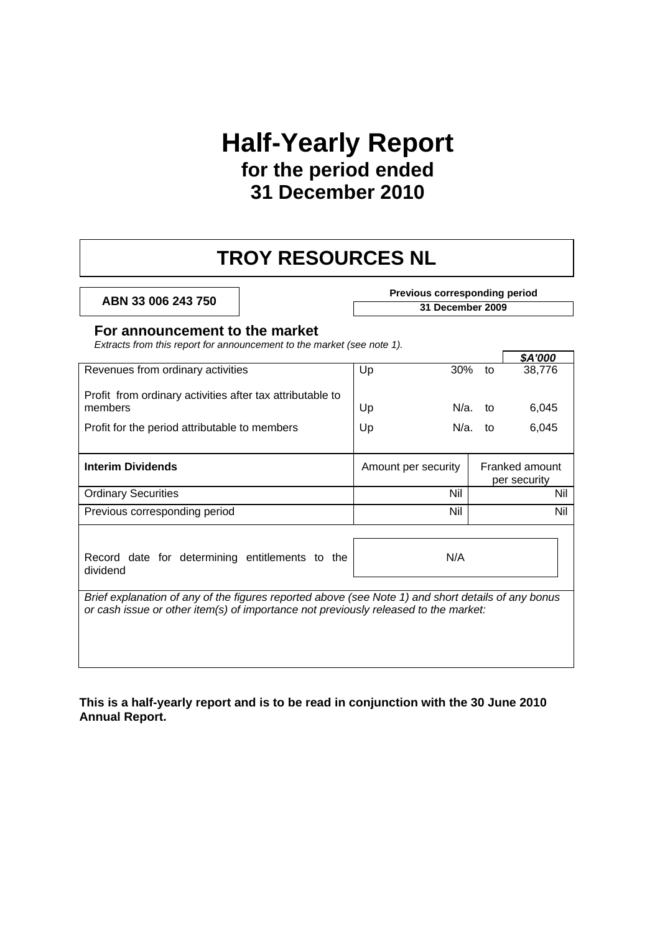## **Half-Yearly Report for the period ended 31 December 2010**

### **TROY RESOURCES NL**

#### **ABN 33 006 243 750 Previous corresponding period**

**31 December 2009** 

#### **For announcement to the market**

*Extracts from this report for announcement to the market (see note 1).* 

|                                                                                                                                                                                           |                     |        |            | \$A'000                        |
|-------------------------------------------------------------------------------------------------------------------------------------------------------------------------------------------|---------------------|--------|------------|--------------------------------|
| Revenues from ordinary activities                                                                                                                                                         | Up                  | $30\%$ | to         | 38,776                         |
| Profit from ordinary activities after tax attributable to<br>members                                                                                                                      | Up                  | N/a.   | to         | 6,045                          |
|                                                                                                                                                                                           |                     |        |            |                                |
| Profit for the period attributable to members                                                                                                                                             | Up                  |        | $N/a$ . to | 6,045                          |
|                                                                                                                                                                                           |                     |        |            |                                |
| <b>Interim Dividends</b>                                                                                                                                                                  | Amount per security |        |            | Franked amount<br>per security |
| <b>Ordinary Securities</b>                                                                                                                                                                | Nil                 |        |            | Nil                            |
| Previous corresponding period                                                                                                                                                             | Nil                 |        |            | Nil                            |
| Record date for determining entitlements to the<br>dividend                                                                                                                               | N/A                 |        |            |                                |
| Brief explanation of any of the figures reported above (see Note 1) and short details of any bonus<br>or cash issue or other item(s) of importance not previously released to the market: |                     |        |            |                                |

**This is a half-yearly report and is to be read in conjunction with the 30 June 2010 Annual Report.**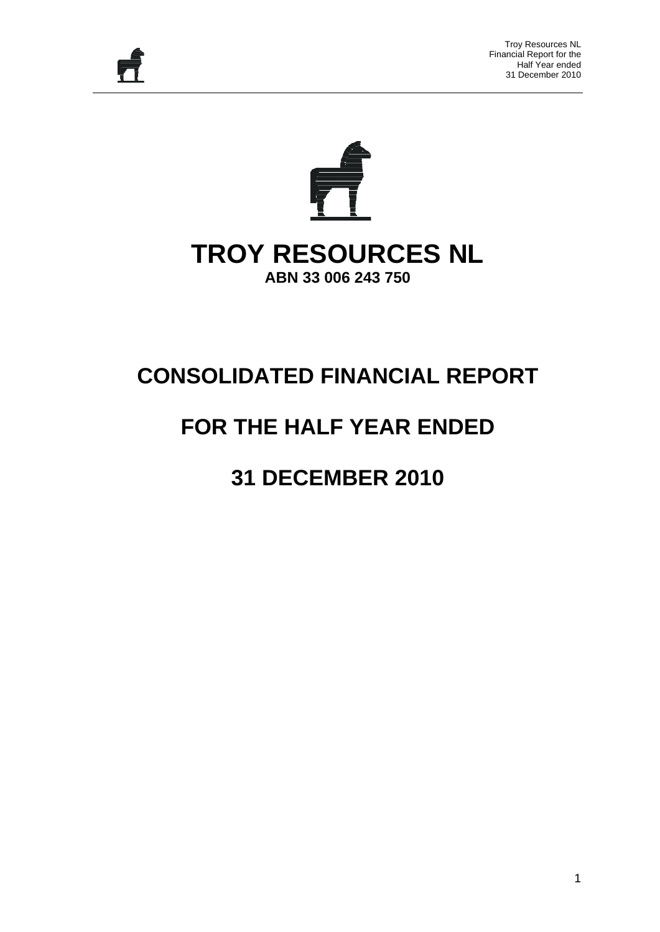

# **TROY RESOURCES NL**

**ABN 33 006 243 750** 

## **CONSOLIDATED FINANCIAL REPORT**

## **FOR THE HALF YEAR ENDED**

## **31 DECEMBER 2010**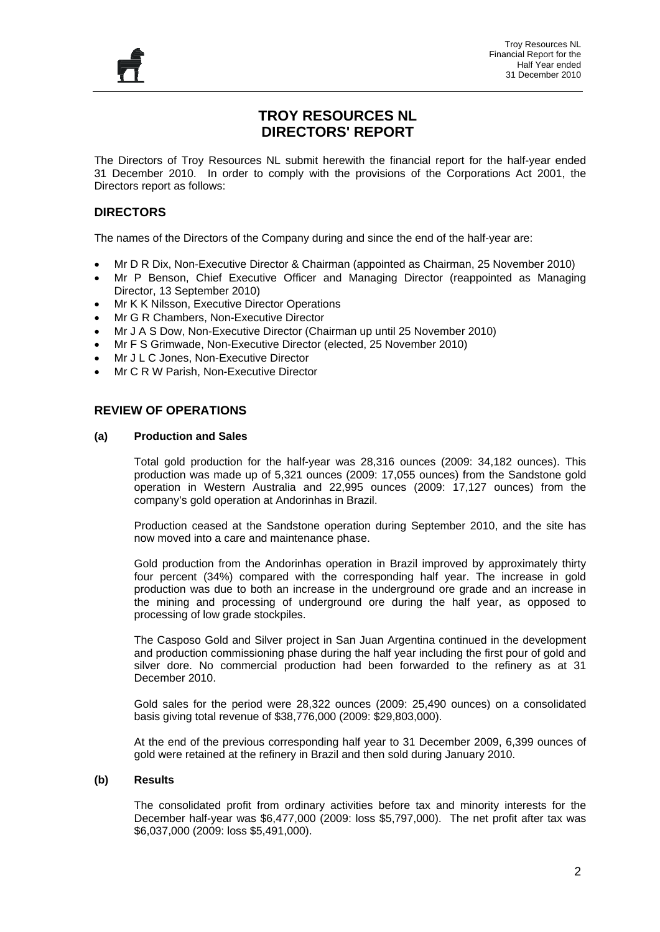

#### **TROY RESOURCES NL DIRECTORS' REPORT**

The Directors of Troy Resources NL submit herewith the financial report for the half-year ended 31 December 2010. In order to comply with the provisions of the Corporations Act 2001, the Directors report as follows:

#### **DIRECTORS**

The names of the Directors of the Company during and since the end of the half-year are:

- Mr D R Dix, Non-Executive Director & Chairman (appointed as Chairman, 25 November 2010)
- Mr P Benson, Chief Executive Officer and Managing Director (reappointed as Managing Director, 13 September 2010)
- Mr K K Nilsson, Executive Director Operations
- Mr G R Chambers, Non-Executive Director
- Mr J A S Dow, Non-Executive Director (Chairman up until 25 November 2010)
- Mr F S Grimwade, Non-Executive Director (elected, 25 November 2010)
- Mr J L C Jones, Non-Executive Director
- Mr C R W Parish, Non-Executive Director

#### **REVIEW OF OPERATIONS**

#### **(a) Production and Sales**

Total gold production for the half-year was 28,316 ounces (2009: 34,182 ounces). This production was made up of 5,321 ounces (2009: 17,055 ounces) from the Sandstone gold operation in Western Australia and 22,995 ounces (2009: 17,127 ounces) from the company's gold operation at Andorinhas in Brazil.

Production ceased at the Sandstone operation during September 2010, and the site has now moved into a care and maintenance phase.

Gold production from the Andorinhas operation in Brazil improved by approximately thirty four percent (34%) compared with the corresponding half year. The increase in gold production was due to both an increase in the underground ore grade and an increase in the mining and processing of underground ore during the half year, as opposed to processing of low grade stockpiles.

The Casposo Gold and Silver project in San Juan Argentina continued in the development and production commissioning phase during the half year including the first pour of gold and silver dore. No commercial production had been forwarded to the refinery as at 31 December 2010.

Gold sales for the period were 28,322 ounces (2009: 25,490 ounces) on a consolidated basis giving total revenue of \$38,776,000 (2009: \$29,803,000).

At the end of the previous corresponding half year to 31 December 2009, 6,399 ounces of gold were retained at the refinery in Brazil and then sold during January 2010.

#### **(b) Results**

The consolidated profit from ordinary activities before tax and minority interests for the December half-year was \$6,477,000 (2009: loss \$5,797,000). The net profit after tax was \$6,037,000 (2009: loss \$5,491,000).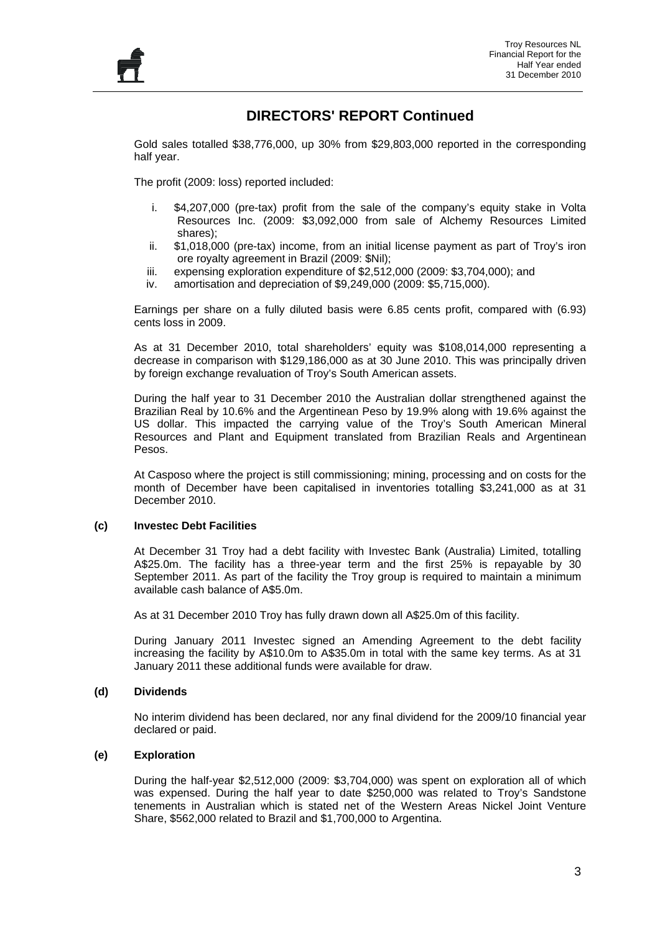#### **DIRECTORS' REPORT Continued**

Gold sales totalled \$38,776,000, up 30% from \$29,803,000 reported in the corresponding half year.

The profit (2009: loss) reported included:

- i. \$4,207,000 (pre-tax) profit from the sale of the company's equity stake in Volta Resources Inc. (2009: \$3,092,000 from sale of Alchemy Resources Limited shares);
- ii. \$1,018,000 (pre-tax) income, from an initial license payment as part of Troy's iron ore royalty agreement in Brazil (2009: \$Nil);
- iii. expensing exploration expenditure of \$2,512,000 (2009: \$3,704,000); and
- iv. amortisation and depreciation of \$9,249,000 (2009: \$5,715,000).

Earnings per share on a fully diluted basis were 6.85 cents profit, compared with (6.93) cents loss in 2009.

As at 31 December 2010, total shareholders' equity was \$108,014,000 representing a decrease in comparison with \$129,186,000 as at 30 June 2010. This was principally driven by foreign exchange revaluation of Troy's South American assets.

During the half year to 31 December 2010 the Australian dollar strengthened against the Brazilian Real by 10.6% and the Argentinean Peso by 19.9% along with 19.6% against the US dollar. This impacted the carrying value of the Troy's South American Mineral Resources and Plant and Equipment translated from Brazilian Reals and Argentinean Pesos.

At Casposo where the project is still commissioning; mining, processing and on costs for the month of December have been capitalised in inventories totalling \$3,241,000 as at 31 December 2010.

#### **(c) Investec Debt Facilities**

At December 31 Troy had a debt facility with Investec Bank (Australia) Limited, totalling A\$25.0m. The facility has a three-year term and the first 25% is repayable by 30 September 2011. As part of the facility the Troy group is required to maintain a minimum available cash balance of A\$5.0m.

As at 31 December 2010 Troy has fully drawn down all A\$25.0m of this facility.

During January 2011 Investec signed an Amending Agreement to the debt facility increasing the facility by A\$10.0m to A\$35.0m in total with the same key terms. As at 31 January 2011 these additional funds were available for draw.

#### **(d) Dividends**

No interim dividend has been declared, nor any final dividend for the 2009/10 financial year declared or paid.

#### **(e) Exploration**

During the half-year \$2,512,000 (2009: \$3,704,000) was spent on exploration all of which was expensed. During the half year to date \$250,000 was related to Troy's Sandstone tenements in Australian which is stated net of the Western Areas Nickel Joint Venture Share, \$562,000 related to Brazil and \$1,700,000 to Argentina.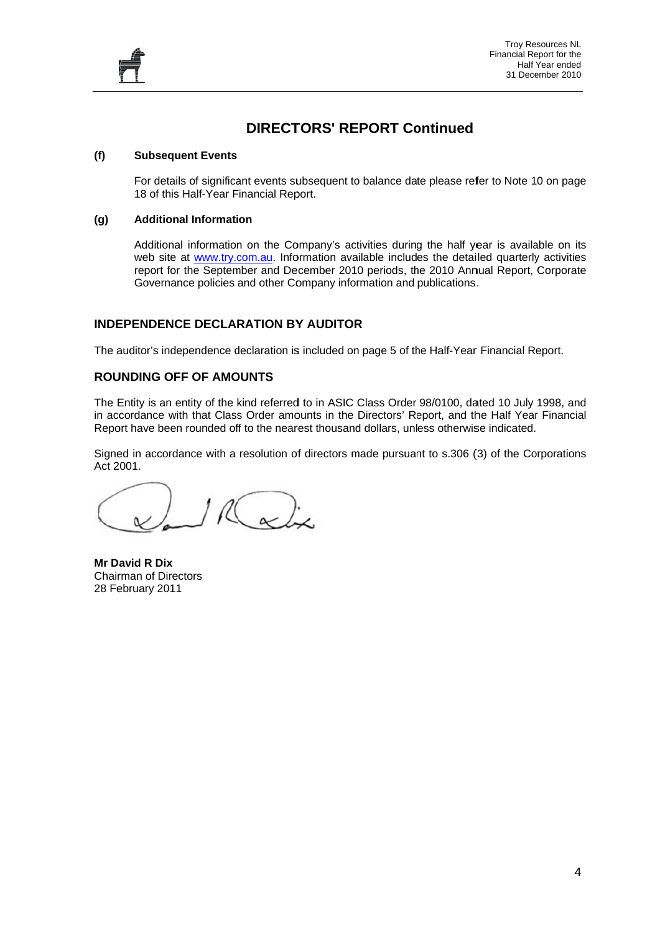

#### **TORS' RE EPORT Co ontinued**

#### **(f) Subsequent Events**

For details of significant events subsequent to balance date please refer to Note 10 on page 18 of this Half-Year Financial Report.

#### **(g) Additional Information**

Additional information on the Company's activities during the half year is available on its web site at www.try.com.au. Information available includes the detailed quarterly activities report for the September and December 2010 periods, the 2010 Annual Report, Corporate Governance policies and other Company information and publications. **DIRECT**<br>
uent Events<br>
ils of significant events su<br>
s Half-Year Financial Rep<br>
nal Information<br>
al information on the Co<br>
at <u>www.try.com.au</u>. Info<br>
r the September and De<br>
nonce policies and other Co<br>
CE DECLARATION BY<br>

#### INDEPENDENCE DECLARATION BY AUDITOR

The auditor's independence declaration is included on page 5 of the Half-Year Financial Report.

#### **ROUNDING OFF OF AMOUNTS**

The Entity is an entity of the kind referred to in ASIC Class Order 98/0100, dated 10 July 1998, and in accordance with that Class Order amounts in the Directors' Report, and the Half Year Financial Report have been rounded off to the nearest thousand dollars, unless otherwise indicated.

Signed in accordance with a resolution of directors made pursuant to s.306 (3) of the Corporations Act 2 001.

**Mr D avid R Dix**  Chairman of Directors 28 Fe ebruary 2011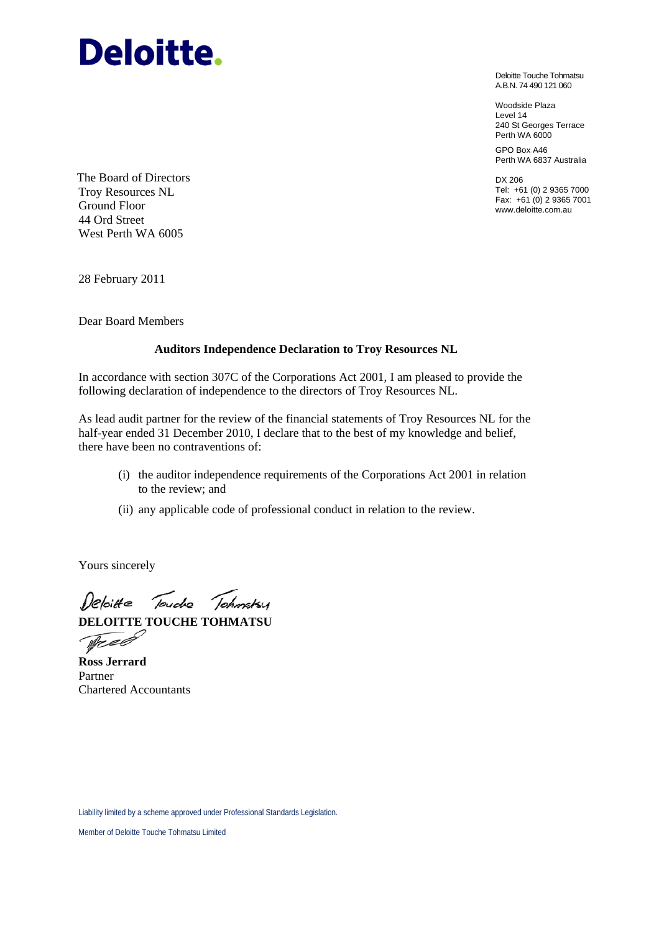# **Deloitte.**

Deloitte Touche Tohmatsu A.B.N. 74 490 121 060

Woodside Plaza Level 14 240 St Georges Terrace Perth WA 6000

GPO Box A46 Perth WA 6837 Australia

DX 206 Tel: +61 (0) 2 9365 7000 Fax: +61 (0) 2 9365 7001 www.deloitte.com.au

The Board of Directors Troy Resources NL Ground Floor 44 Ord Street West Perth WA 6005

28 February 2011

Dear Board Members

#### **Auditors Independence Declaration to Troy Resources NL**

In accordance with section 307C of the Corporations Act 2001, I am pleased to provide the following declaration of independence to the directors of Troy Resources NL.

As lead audit partner for the review of the financial statements of Troy Resources NL for the half-year ended 31 December 2010, I declare that to the best of my knowledge and belief, there have been no contraventions of:

- (i) the auditor independence requirements of the Corporations Act 2001 in relation to the review; and
- (ii) any applicable code of professional conduct in relation to the review.

Yours sincerely

Deloitte Touche Tchmatsy **DELOITTE TOUCHE TOHMATSU** 

Tree

**Ross Jerrard**  Partner Chartered Accountants

Liability limited by a scheme approved under Professional Standards Legislation.

Member of Deloitte Touche Tohmatsu Limited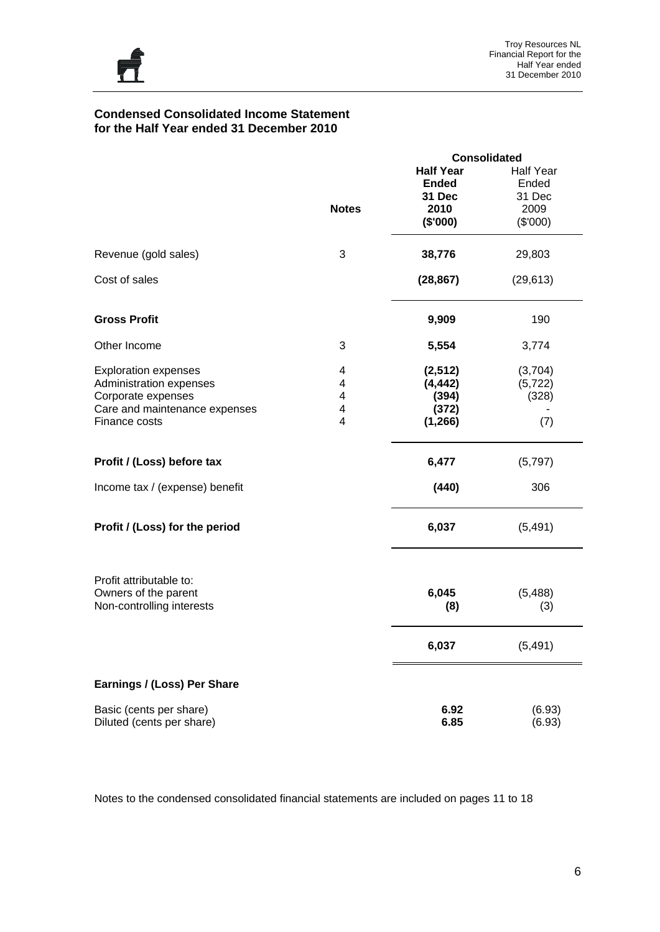

#### **Condensed Consolidated Income Statement for the Half Year ended 31 December 2010**

|                                                                                                                                |                       |                                                                | <b>Consolidated</b>                                     |
|--------------------------------------------------------------------------------------------------------------------------------|-----------------------|----------------------------------------------------------------|---------------------------------------------------------|
|                                                                                                                                | <b>Notes</b>          | <b>Half Year</b><br><b>Ended</b><br>31 Dec<br>2010<br>(\$'000) | <b>Half Year</b><br>Ended<br>31 Dec<br>2009<br>(\$'000) |
| Revenue (gold sales)                                                                                                           | 3                     | 38,776                                                         | 29,803                                                  |
| Cost of sales                                                                                                                  |                       | (28, 867)                                                      | (29, 613)                                               |
| <b>Gross Profit</b>                                                                                                            |                       | 9,909                                                          | 190                                                     |
| Other Income                                                                                                                   | 3                     | 5,554                                                          | 3,774                                                   |
| <b>Exploration expenses</b><br>Administration expenses<br>Corporate expenses<br>Care and maintenance expenses<br>Finance costs | 4<br>4<br>4<br>4<br>4 | (2, 512)<br>(4, 442)<br>(394)<br>(372)<br>(1, 266)             | (3,704)<br>(5, 722)<br>(328)<br>(7)                     |
| Profit / (Loss) before tax                                                                                                     |                       | 6,477                                                          | (5,797)                                                 |
| Income tax / (expense) benefit                                                                                                 |                       | (440)                                                          | 306                                                     |
| Profit / (Loss) for the period                                                                                                 |                       | 6,037                                                          | (5, 491)                                                |
| Profit attributable to:<br>Owners of the parent<br>Non-controlling interests                                                   |                       | 6,045<br>(8)                                                   | (5,488)<br>(3)                                          |
|                                                                                                                                |                       | 6,037                                                          | (5, 491)                                                |
| Earnings / (Loss) Per Share                                                                                                    |                       |                                                                |                                                         |
| Basic (cents per share)<br>Diluted (cents per share)                                                                           |                       | 6.92<br>6.85                                                   | (6.93)<br>(6.93)                                        |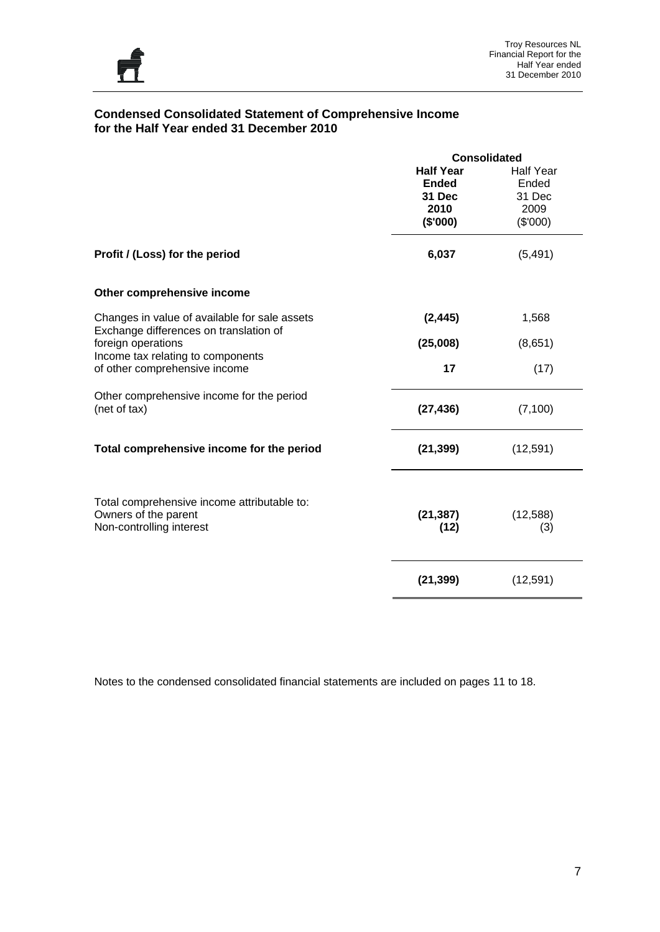

#### **Condensed Consolidated Statement of Comprehensive Income for the Half Year ended 31 December 2010**

|                                                                                                 | <b>Consolidated</b>                                |                                             |  |  |
|-------------------------------------------------------------------------------------------------|----------------------------------------------------|---------------------------------------------|--|--|
|                                                                                                 | <b>Half Year</b><br><b>Ended</b><br>31 Dec<br>2010 | <b>Half Year</b><br>Ended<br>31 Dec<br>2009 |  |  |
|                                                                                                 | (\$'000)                                           | (\$'000)                                    |  |  |
| Profit / (Loss) for the period                                                                  | 6,037                                              | (5, 491)                                    |  |  |
| Other comprehensive income                                                                      |                                                    |                                             |  |  |
| Changes in value of available for sale assets<br>Exchange differences on translation of         | (2, 445)                                           | 1,568                                       |  |  |
| foreign operations<br>Income tax relating to components                                         | (25,008)                                           | (8,651)                                     |  |  |
| of other comprehensive income                                                                   | 17                                                 | (17)                                        |  |  |
| Other comprehensive income for the period<br>(net of tax)                                       | (27, 436)                                          | (7, 100)                                    |  |  |
| Total comprehensive income for the period                                                       | (21, 399)                                          | (12, 591)                                   |  |  |
| Total comprehensive income attributable to:<br>Owners of the parent<br>Non-controlling interest | (21, 387)<br>(12)                                  | (12, 588)<br>(3)                            |  |  |
|                                                                                                 | (21, 399)                                          | (12, 591)                                   |  |  |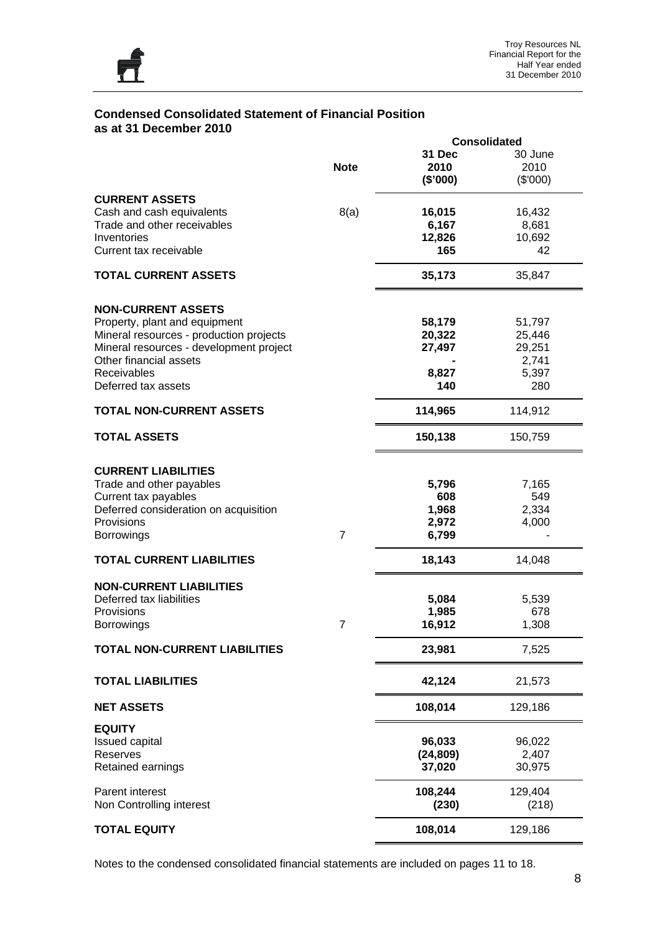

#### **Condensed Consolidated Statement of Financial Position as at 31 December 2010**

|                                         |                |           | <b>Consolidated</b> |
|-----------------------------------------|----------------|-----------|---------------------|
|                                         |                | 31 Dec    | 30 June             |
|                                         | <b>Note</b>    | 2010      | 2010                |
|                                         |                |           |                     |
|                                         |                | (\$'000)  | (\$'000)            |
| <b>CURRENT ASSETS</b>                   |                |           |                     |
| Cash and cash equivalents               | 8(a)           | 16,015    | 16,432              |
| Trade and other receivables             |                | 6,167     | 8,681               |
| Inventories                             |                | 12,826    | 10,692              |
| Current tax receivable                  |                | 165       | 42                  |
|                                         |                |           |                     |
| <b>TOTAL CURRENT ASSETS</b>             |                | 35,173    | 35,847              |
| <b>NON-CURRENT ASSETS</b>               |                |           |                     |
|                                         |                |           | 51,797              |
| Property, plant and equipment           |                | 58,179    |                     |
| Mineral resources - production projects |                | 20,322    | 25,446              |
| Mineral resources - development project |                | 27,497    | 29,251              |
| Other financial assets                  |                |           | 2,741               |
| Receivables                             |                | 8,827     | 5,397               |
|                                         |                |           |                     |
| Deferred tax assets                     |                | 140       | 280                 |
| <b>TOTAL NON-CURRENT ASSETS</b>         |                | 114,965   | 114,912             |
| <b>TOTAL ASSETS</b>                     |                | 150,138   | 150,759             |
|                                         |                |           |                     |
| <b>CURRENT LIABILITIES</b>              |                |           |                     |
| Trade and other payables                |                | 5,796     | 7,165               |
| Current tax payables                    |                | 608       | 549                 |
|                                         |                |           |                     |
| Deferred consideration on acquisition   |                | 1,968     | 2,334               |
| Provisions                              |                | 2,972     | 4,000               |
| <b>Borrowings</b>                       | $\overline{7}$ | 6,799     |                     |
| <b>TOTAL CURRENT LIABILITIES</b>        |                | 18,143    | 14,048              |
| <b>NON-CURRENT LIABILITIES</b>          |                |           |                     |
|                                         |                |           |                     |
| Deferred tax liabilities                |                | 5,084     | 5,539               |
| <b>Provisions</b>                       |                | 1,985     | 678                 |
| <b>Borrowings</b>                       | 7              | 16,912    | 1,308               |
| <b>TOTAL NON-CURRENT LIABILITIES</b>    |                | 23,981    | 7,525               |
| <b>TOTAL LIABILITIES</b>                |                | 42,124    | 21,573              |
|                                         |                |           |                     |
| <b>NET ASSETS</b>                       |                | 108,014   | 129,186             |
| <b>EQUITY</b>                           |                |           |                     |
| <b>Issued capital</b>                   |                | 96,033    | 96,022              |
| Reserves                                |                | (24, 809) | 2,407               |
|                                         |                |           |                     |
| Retained earnings                       |                | 37,020    | 30,975              |
| Parent interest                         |                | 108,244   | 129,404             |
| Non Controlling interest                |                | (230)     | (218)               |
|                                         |                |           |                     |
| <b>TOTAL EQUITY</b>                     |                | 108,014   | 129,186             |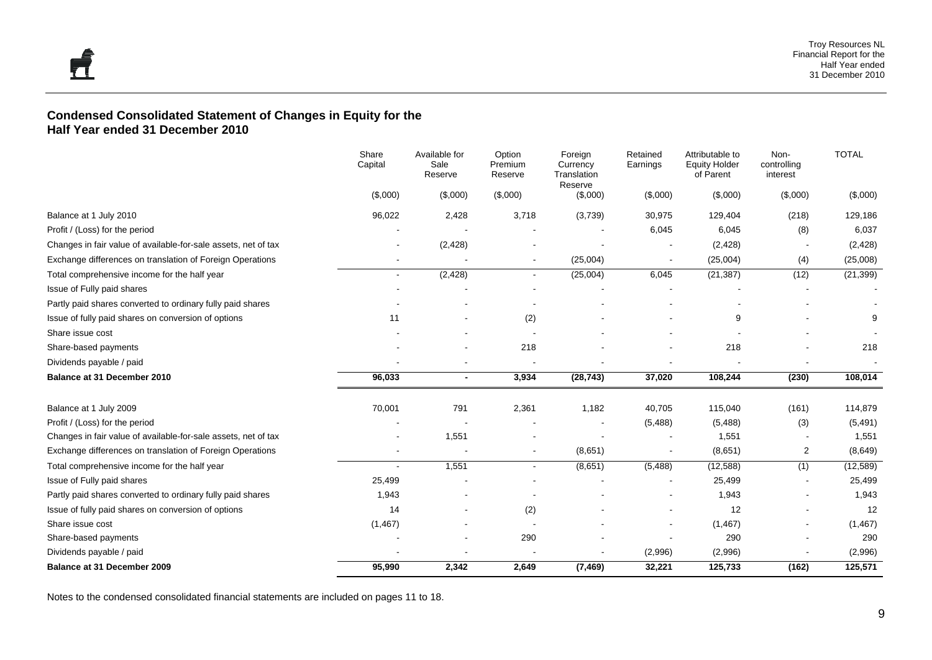#### **Condensed Consolidated Statement of Changes in Equity for the Half Year ended 31 December 2010**

|                                                                | Share<br>Capital | Available for<br>Sale<br>Reserve | Option<br>Premium<br>Reserve | Foreign<br>Currency<br>Translation<br>Reserve | Retained<br>Earnings | Attributable to<br><b>Equity Holder</b><br>of Parent | Non-<br>controlling<br>interest | <b>TOTAL</b> |
|----------------------------------------------------------------|------------------|----------------------------------|------------------------------|-----------------------------------------------|----------------------|------------------------------------------------------|---------------------------------|--------------|
|                                                                | (\$,000)         | (\$,000)                         | (\$,000)                     | (\$,000)                                      | (\$,000)             | (\$,000)                                             | (\$,000)                        | (\$,000)     |
| Balance at 1 July 2010                                         | 96,022           | 2,428                            | 3,718                        | (3,739)                                       | 30,975               | 129,404                                              | (218)                           | 129,186      |
| Profit / (Loss) for the period                                 |                  |                                  |                              |                                               | 6,045                | 6,045                                                | (8)                             | 6,037        |
| Changes in fair value of available-for-sale assets, net of tax |                  | (2, 428)                         |                              |                                               |                      | (2, 428)                                             |                                 | (2, 428)     |
| Exchange differences on translation of Foreign Operations      |                  |                                  | $\blacksquare$               | (25,004)                                      |                      | (25,004)                                             | (4)                             | (25,008)     |
| Total comprehensive income for the half year                   | $\blacksquare$   | (2, 428)                         | $\blacksquare$               | (25,004)                                      | 6,045                | (21, 387)                                            | (12)                            | (21, 399)    |
| Issue of Fully paid shares                                     |                  |                                  |                              |                                               |                      |                                                      |                                 |              |
| Partly paid shares converted to ordinary fully paid shares     |                  |                                  |                              |                                               |                      |                                                      |                                 |              |
| Issue of fully paid shares on conversion of options            | 11               |                                  | (2)                          |                                               |                      | 9                                                    |                                 | 9            |
| Share issue cost                                               |                  |                                  |                              |                                               |                      |                                                      |                                 |              |
| Share-based payments                                           |                  |                                  | 218                          |                                               |                      | 218                                                  |                                 | 218          |
| Dividends payable / paid                                       |                  |                                  |                              |                                               |                      |                                                      |                                 |              |
| Balance at 31 December 2010                                    | 96,033           | $\overline{\phantom{a}}$         | 3,934                        | (28, 743)                                     | 37,020               | 108,244                                              | (230)                           | 108,014      |
| Balance at 1 July 2009                                         | 70,001           | 791                              | 2,361                        | 1,182                                         | 40,705               | 115,040                                              | (161)                           | 114,879      |
| Profit / (Loss) for the period                                 |                  |                                  |                              |                                               | (5,488)              | (5,488)                                              | (3)                             | (5, 491)     |
| Changes in fair value of available-for-sale assets, net of tax |                  | 1,551                            |                              |                                               |                      | 1,551                                                |                                 | 1,551        |
| Exchange differences on translation of Foreign Operations      |                  |                                  |                              | (8,651)                                       |                      | (8,651)                                              | $\overline{2}$                  | (8,649)      |
| Total comprehensive income for the half year                   |                  | 1,551                            | $\blacksquare$               | (8,651)                                       | (5, 488)             | (12, 588)                                            | (1)                             | (12, 589)    |
| Issue of Fully paid shares                                     | 25,499           |                                  |                              |                                               |                      | 25,499                                               |                                 | 25,499       |
| Partly paid shares converted to ordinary fully paid shares     | 1,943            |                                  |                              |                                               |                      | 1,943                                                | $\overline{\phantom{a}}$        | 1,943        |
| Issue of fully paid shares on conversion of options            | 14               |                                  | (2)                          |                                               |                      | 12                                                   |                                 | 12           |
| Share issue cost                                               | (1, 467)         |                                  |                              |                                               |                      | (1, 467)                                             |                                 | (1, 467)     |
| Share-based payments                                           |                  |                                  | 290                          |                                               |                      | 290                                                  |                                 | 290          |
| Dividends payable / paid                                       |                  |                                  |                              |                                               | (2,996)              | (2,996)                                              |                                 | (2,996)      |
| Balance at 31 December 2009                                    | 95,990           | 2,342                            | 2,649                        | (7, 469)                                      | 32,221               | 125,733                                              | (162)                           | 125,571      |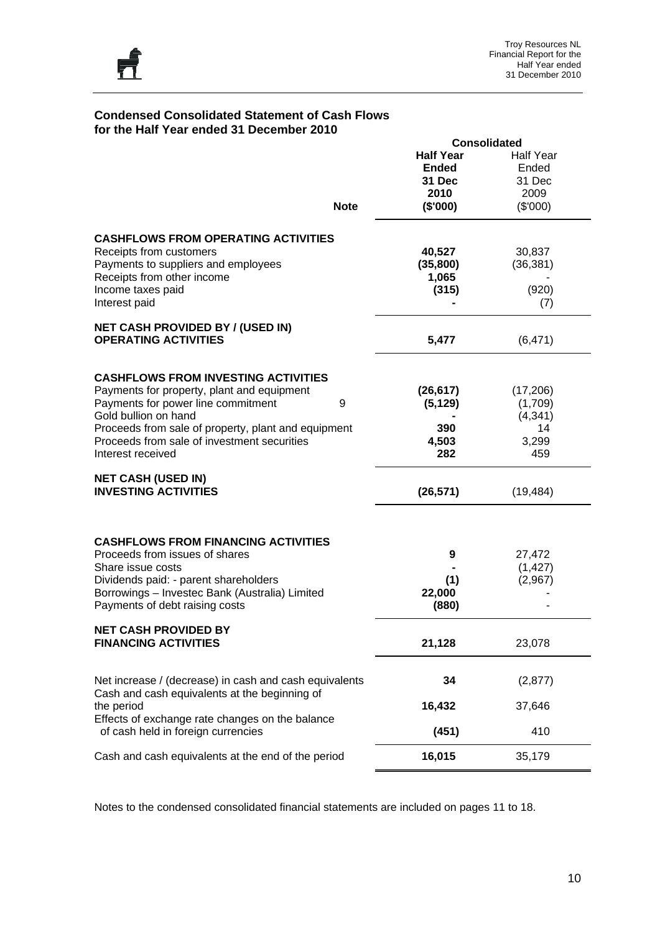

#### **Condensed Consolidated Statement of Cash Flows for the Half Year ended 31 December 2010**

| <b>Note</b><br><b>CASHFLOWS FROM OPERATING ACTIVITIES</b><br>Receipts from customers                    | <b>Half Year</b><br><b>Ended</b><br>31 Dec<br>2010<br>(\$'000)<br>40,527<br>(35, 800) | <b>Half Year</b><br>Ended<br>31 Dec<br>2009<br>(\$'000) |
|---------------------------------------------------------------------------------------------------------|---------------------------------------------------------------------------------------|---------------------------------------------------------|
|                                                                                                         |                                                                                       |                                                         |
|                                                                                                         |                                                                                       |                                                         |
|                                                                                                         |                                                                                       |                                                         |
|                                                                                                         |                                                                                       |                                                         |
|                                                                                                         |                                                                                       |                                                         |
|                                                                                                         |                                                                                       |                                                         |
|                                                                                                         |                                                                                       | 30,837                                                  |
|                                                                                                         |                                                                                       | (36, 381)                                               |
| Payments to suppliers and employees<br>Receipts from other income                                       | 1,065                                                                                 |                                                         |
| Income taxes paid                                                                                       | (315)                                                                                 | (920)                                                   |
| Interest paid                                                                                           |                                                                                       | (7)                                                     |
| <b>NET CASH PROVIDED BY / (USED IN)</b>                                                                 |                                                                                       |                                                         |
| <b>OPERATING ACTIVITIES</b>                                                                             | 5,477                                                                                 | (6, 471)                                                |
| <b>CASHFLOWS FROM INVESTING ACTIVITIES</b>                                                              |                                                                                       |                                                         |
| Payments for property, plant and equipment                                                              | (26, 617)                                                                             | (17, 206)                                               |
| Payments for power line commitment<br>9                                                                 | (5, 129)                                                                              | (1,709)                                                 |
| Gold bullion on hand                                                                                    |                                                                                       | (4, 341)                                                |
| Proceeds from sale of property, plant and equipment                                                     | 390                                                                                   | 14                                                      |
| Proceeds from sale of investment securities                                                             | 4,503                                                                                 | 3,299                                                   |
| Interest received                                                                                       | 282                                                                                   | 459                                                     |
| <b>NET CASH (USED IN)</b>                                                                               |                                                                                       |                                                         |
| <b>INVESTING ACTIVITIES</b>                                                                             | (26, 571)                                                                             | (19, 484)                                               |
|                                                                                                         |                                                                                       |                                                         |
| <b>CASHFLOWS FROM FINANCING ACTIVITIES</b>                                                              |                                                                                       |                                                         |
| Proceeds from issues of shares                                                                          | 9                                                                                     | 27,472                                                  |
| Share issue costs                                                                                       |                                                                                       | (1, 427)                                                |
| Dividends paid: - parent shareholders                                                                   | (1)                                                                                   | (2,967)                                                 |
| Borrowings - Investec Bank (Australia) Limited                                                          | 22,000                                                                                |                                                         |
| Payments of debt raising costs                                                                          | (880)                                                                                 |                                                         |
| <b>NET CASH PROVIDED BY</b>                                                                             |                                                                                       |                                                         |
| <b>FINANCING ACTIVITIES</b>                                                                             | 21,128                                                                                | 23,078                                                  |
|                                                                                                         |                                                                                       |                                                         |
| Net increase / (decrease) in cash and cash equivalents<br>Cash and cash equivalents at the beginning of | 34                                                                                    | (2, 877)                                                |
| the period                                                                                              | 16,432                                                                                | 37,646                                                  |
| Effects of exchange rate changes on the balance                                                         |                                                                                       |                                                         |
| of cash held in foreign currencies                                                                      | (451)                                                                                 | 410                                                     |
| Cash and cash equivalents at the end of the period                                                      | 16,015                                                                                | 35,179                                                  |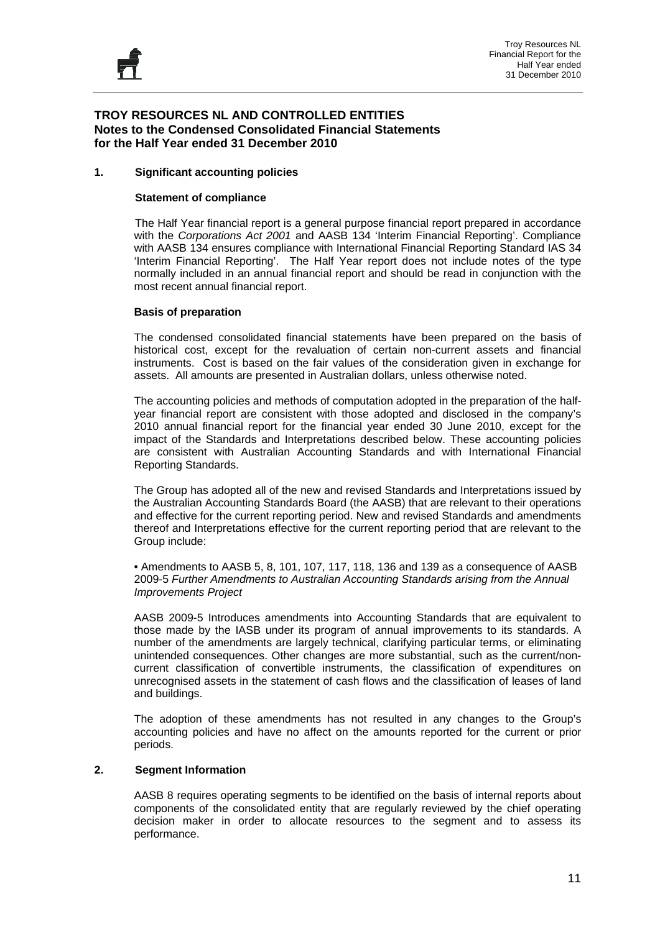Troy Resources NL Financial Report for the Half Year ended 31 December 2010

#### **TROY RESOURCES NL AND CONTROLLED ENTITIES Notes to the Condensed Consolidated Financial Statements for the Half Year ended 31 December 2010**

#### **1. Significant accounting policies**

#### **Statement of compliance**

The Half Year financial report is a general purpose financial report prepared in accordance with the *Corporations Act 2001* and AASB 134 'Interim Financial Reporting'. Compliance with AASB 134 ensures compliance with International Financial Reporting Standard IAS 34 'Interim Financial Reporting'. The Half Year report does not include notes of the type normally included in an annual financial report and should be read in conjunction with the most recent annual financial report.

#### **Basis of preparation**

The condensed consolidated financial statements have been prepared on the basis of historical cost, except for the revaluation of certain non-current assets and financial instruments. Cost is based on the fair values of the consideration given in exchange for assets. All amounts are presented in Australian dollars, unless otherwise noted.

The accounting policies and methods of computation adopted in the preparation of the halfyear financial report are consistent with those adopted and disclosed in the company's 2010 annual financial report for the financial year ended 30 June 2010, except for the impact of the Standards and Interpretations described below. These accounting policies are consistent with Australian Accounting Standards and with International Financial Reporting Standards.

The Group has adopted all of the new and revised Standards and Interpretations issued by the Australian Accounting Standards Board (the AASB) that are relevant to their operations and effective for the current reporting period. New and revised Standards and amendments thereof and Interpretations effective for the current reporting period that are relevant to the Group include:

• Amendments to AASB 5, 8, 101, 107, 117, 118, 136 and 139 as a consequence of AASB 2009-5 *Further Amendments to Australian Accounting Standards arising from the Annual Improvements Project* 

AASB 2009-5 Introduces amendments into Accounting Standards that are equivalent to those made by the IASB under its program of annual improvements to its standards. A number of the amendments are largely technical, clarifying particular terms, or eliminating unintended consequences. Other changes are more substantial, such as the current/noncurrent classification of convertible instruments, the classification of expenditures on unrecognised assets in the statement of cash flows and the classification of leases of land and buildings.

The adoption of these amendments has not resulted in any changes to the Group's accounting policies and have no affect on the amounts reported for the current or prior periods.

#### **2. Segment Information**

AASB 8 requires operating segments to be identified on the basis of internal reports about components of the consolidated entity that are regularly reviewed by the chief operating decision maker in order to allocate resources to the segment and to assess its performance.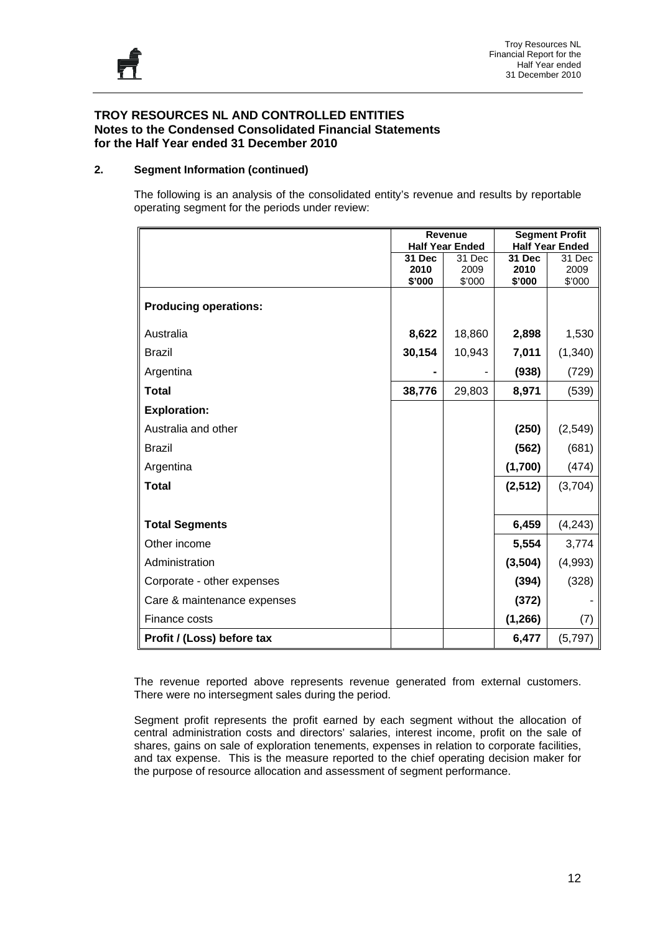#### **2. Segment Information (continued)**

The following is an analysis of the consolidated entity's revenue and results by reportable operating segment for the periods under review:

|                              | <b>Revenue</b> |                        | <b>Segment Profit</b> |                        |  |
|------------------------------|----------------|------------------------|-----------------------|------------------------|--|
|                              |                | <b>Half Year Ended</b> |                       | <b>Half Year Ended</b> |  |
|                              | 31 Dec<br>2010 | 31 Dec<br>2009         | <b>31 Dec</b><br>2010 | 31 Dec<br>2009         |  |
|                              | \$'000         | \$'000                 | \$'000                | \$'000                 |  |
| <b>Producing operations:</b> |                |                        |                       |                        |  |
| Australia                    | 8,622          | 18,860                 | 2,898                 | 1,530                  |  |
| <b>Brazil</b>                | 30,154         | 10,943                 | 7,011                 | (1, 340)               |  |
| Argentina                    |                |                        | (938)                 | (729)                  |  |
| <b>Total</b>                 | 38,776         | 29,803                 | 8,971                 | (539)                  |  |
| <b>Exploration:</b>          |                |                        |                       |                        |  |
| Australia and other          |                |                        | (250)                 | (2,549)                |  |
| <b>Brazil</b>                |                |                        | (562)                 | (681)                  |  |
| Argentina                    |                |                        | (1,700)               | (474)                  |  |
| <b>Total</b>                 |                |                        | (2, 512)              | (3,704)                |  |
|                              |                |                        |                       |                        |  |
| <b>Total Segments</b>        |                |                        | 6,459                 | (4, 243)               |  |
| Other income                 |                |                        | 5,554                 | 3,774                  |  |
| Administration               |                |                        | (3, 504)              | (4,993)                |  |
| Corporate - other expenses   |                |                        | (394)                 | (328)                  |  |
| Care & maintenance expenses  |                |                        | (372)                 |                        |  |
| Finance costs                |                |                        | (1, 266)              | (7)                    |  |
| Profit / (Loss) before tax   |                |                        | 6,477                 | (5,797)                |  |

The revenue reported above represents revenue generated from external customers. There were no intersegment sales during the period.

Segment profit represents the profit earned by each segment without the allocation of central administration costs and directors' salaries, interest income, profit on the sale of shares, gains on sale of exploration tenements, expenses in relation to corporate facilities, and tax expense. This is the measure reported to the chief operating decision maker for the purpose of resource allocation and assessment of segment performance.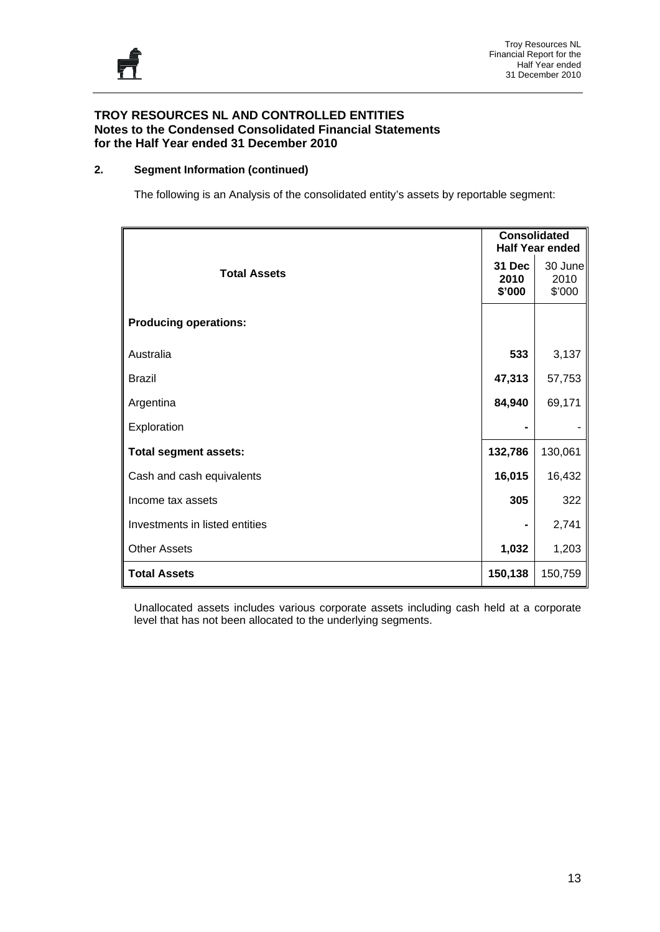#### **2. Segment Information (continued)**

The following is an Analysis of the consolidated entity's assets by reportable segment:

|                                |                          | <b>Consolidated</b><br><b>Half Year ended</b> |
|--------------------------------|--------------------------|-----------------------------------------------|
| <b>Total Assets</b>            | 31 Dec<br>2010<br>\$'000 | 30 June<br>2010<br>\$'000                     |
| <b>Producing operations:</b>   |                          |                                               |
| Australia                      | 533                      | 3,137                                         |
| <b>Brazil</b>                  | 47,313                   | 57,753                                        |
| Argentina                      | 84,940                   | 69,171                                        |
| Exploration                    |                          |                                               |
| <b>Total segment assets:</b>   | 132,786                  | 130,061                                       |
| Cash and cash equivalents      | 16,015                   | 16,432                                        |
| Income tax assets              | 305                      | 322                                           |
| Investments in listed entities |                          | 2,741                                         |
| <b>Other Assets</b>            | 1,032                    | 1,203                                         |
| <b>Total Assets</b>            | 150,138                  | 150,759                                       |

Unallocated assets includes various corporate assets including cash held at a corporate level that has not been allocated to the underlying segments.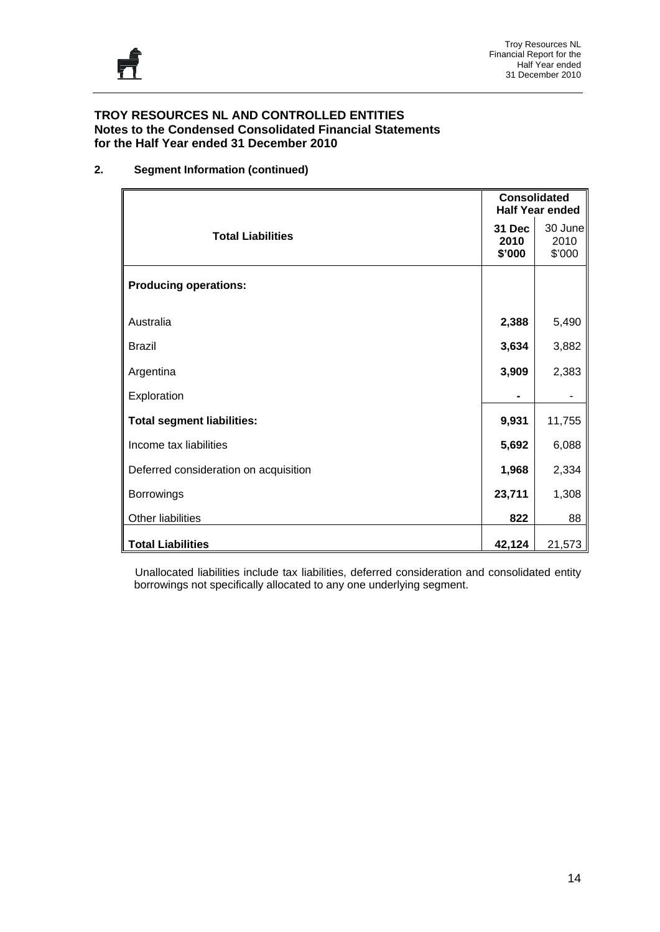#### **2. Segment Information (continued)**

|                                       | <b>Consolidated</b>      | <b>Half Year ended</b>    |
|---------------------------------------|--------------------------|---------------------------|
| <b>Total Liabilities</b>              | 31 Dec<br>2010<br>\$'000 | 30 June<br>2010<br>\$'000 |
| <b>Producing operations:</b>          |                          |                           |
| Australia                             | 2,388                    | 5,490                     |
| <b>Brazil</b>                         | 3,634                    | 3,882                     |
| Argentina                             | 3,909                    | 2,383                     |
| Exploration                           |                          |                           |
| <b>Total segment liabilities:</b>     | 9,931                    | 11,755                    |
| Income tax liabilities                | 5,692                    | 6,088                     |
| Deferred consideration on acquisition | 1,968                    | 2,334                     |
| Borrowings                            | 23,711                   | 1,308                     |
| Other liabilities                     | 822                      | 88                        |
| <b>Total Liabilities</b>              | 42,124                   | 21,573                    |

 Unallocated liabilities include tax liabilities, deferred consideration and consolidated entity borrowings not specifically allocated to any one underlying segment.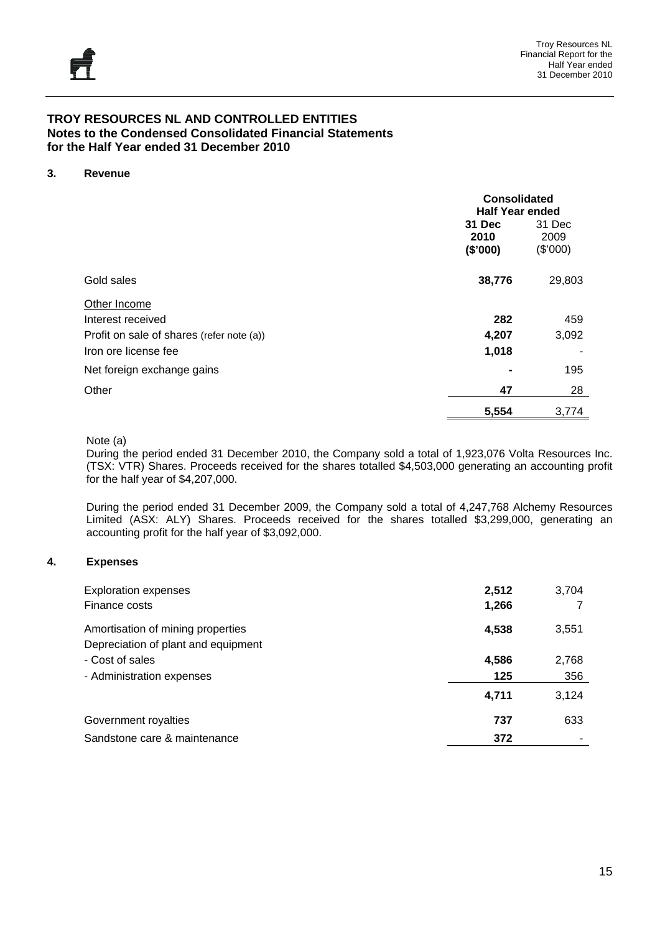#### **3. Revenue**

|                                           | <b>Consolidated</b><br><b>Half Year ended</b> |                            |  |
|-------------------------------------------|-----------------------------------------------|----------------------------|--|
|                                           | 31 Dec<br>2010<br>(\$'000)                    | 31 Dec<br>2009<br>(\$'000) |  |
| Gold sales                                | 38,776                                        | 29,803                     |  |
| Other Income                              |                                               |                            |  |
| Interest received                         | 282                                           | 459                        |  |
| Profit on sale of shares (refer note (a)) | 4,207                                         | 3,092                      |  |
| Iron ore license fee                      | 1,018                                         |                            |  |
| Net foreign exchange gains                |                                               | 195                        |  |
| Other                                     | 47                                            | 28                         |  |
|                                           | 5,554                                         | 3,774                      |  |

#### Note (a)

During the period ended 31 December 2010, the Company sold a total of 1,923,076 Volta Resources Inc. (TSX: VTR) Shares. Proceeds received for the shares totalled \$4,503,000 generating an accounting profit for the half year of \$4,207,000.

During the period ended 31 December 2009, the Company sold a total of 4,247,768 Alchemy Resources Limited (ASX: ALY) Shares. Proceeds received for the shares totalled \$3,299,000, generating an accounting profit for the half year of \$3,092,000.

#### **4. Expenses**

| <b>Exploration expenses</b><br>Finance costs                             | 2,512<br>1,266 | 3,704 |
|--------------------------------------------------------------------------|----------------|-------|
| Amortisation of mining properties<br>Depreciation of plant and equipment | 4,538          | 3,551 |
| - Cost of sales                                                          | 4,586          | 2,768 |
| - Administration expenses                                                | 125            | 356   |
|                                                                          | 4,711          | 3,124 |
| Government royalties                                                     | 737            | 633   |
| Sandstone care & maintenance                                             | 372            |       |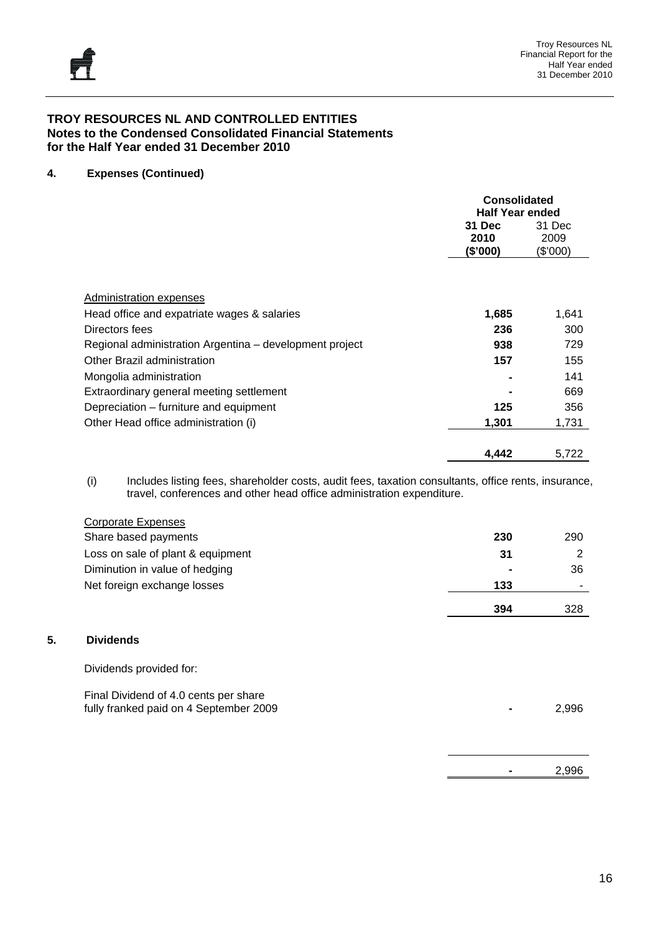**5. Dividends** 

#### **TROY RESOURCES NL AND CONTROLLED ENTITIES Notes to the Condensed Consolidated Financial Statements for the Half Year ended 31 December 2010**

#### **4. Expenses (Continued)**

|                                                         | <b>Consolidated</b><br><b>Half Year ended</b> |                            |  |
|---------------------------------------------------------|-----------------------------------------------|----------------------------|--|
|                                                         | 31 Dec<br>2010<br>(\$'000)                    | 31 Dec<br>2009<br>(\$'000) |  |
| Administration expenses                                 |                                               |                            |  |
| Head office and expatriate wages & salaries             | 1,685                                         | 1,641                      |  |
| Directors fees                                          | 236                                           | 300                        |  |
| Regional administration Argentina – development project | 938                                           | 729                        |  |
| Other Brazil administration                             | 157                                           | 155                        |  |
| Mongolia administration                                 |                                               | 141                        |  |
| Extraordinary general meeting settlement                |                                               | 669                        |  |
| Depreciation – furniture and equipment                  | 125                                           | 356                        |  |
| Other Head office administration (i)                    | 1,301                                         | 1,731                      |  |
|                                                         | 4,442                                         | 5,722                      |  |

(i) Includes listing fees, shareholder costs, audit fees, taxation consultants, office rents, insurance, travel, conferences and other head office administration expenditure.

| <b>Corporate Expenses</b>                                                       |     |       |
|---------------------------------------------------------------------------------|-----|-------|
| Share based payments                                                            | 230 | 290   |
| Loss on sale of plant & equipment                                               | 31  | 2     |
| Diminution in value of hedging                                                  |     | 36    |
| Net foreign exchange losses                                                     | 133 |       |
|                                                                                 | 394 | 328   |
| <b>Dividends</b>                                                                |     |       |
| Dividends provided for:                                                         |     |       |
| Final Dividend of 4.0 cents per share<br>fully franked paid on 4 September 2009 |     | 2,996 |
|                                                                                 |     |       |

**-** 2,996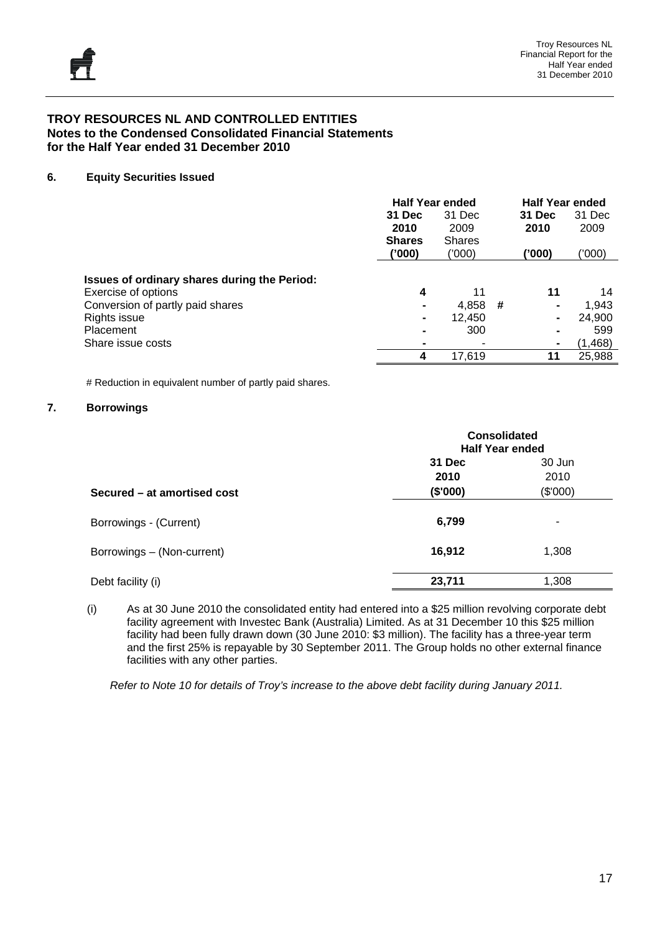#### **6. Equity Securities Issued**

|                                              | <b>Half Year ended</b> |               |   | <b>Half Year ended</b> |          |
|----------------------------------------------|------------------------|---------------|---|------------------------|----------|
|                                              | 31 Dec                 | 31 Dec        |   | 31 Dec                 | 31 Dec   |
|                                              | 2010                   | 2009          |   | 2010                   | 2009     |
|                                              | <b>Shares</b>          | <b>Shares</b> |   |                        |          |
|                                              | ('000)                 | ('000)        |   | ('000)                 | ('000'   |
| Issues of ordinary shares during the Period: |                        |               |   |                        |          |
| Exercise of options                          | 4                      | 11            |   | 11                     | 14       |
| Conversion of partly paid shares             |                        | 4,858         | # | $\blacksquare$         | 1,943    |
| Rights issue                                 | $\blacksquare$         | 12,450        |   | $\blacksquare$         | 24,900   |
| Placement                                    | $\blacksquare$         | 300           |   | $\blacksquare$         | 599      |
| Share issue costs                            |                        |               |   | ۰                      | (1, 468) |
|                                              | 4                      | 17,619        |   | 11                     | 25,988   |

# Reduction in equivalent number of partly paid shares.

#### **7. Borrowings**

|                             |          | <b>Consolidated</b><br><b>Half Year ended</b> |  |  |
|-----------------------------|----------|-----------------------------------------------|--|--|
|                             | 31 Dec   | 30 Jun                                        |  |  |
|                             | 2010     | 2010                                          |  |  |
| Secured – at amortised cost | (\$'000) | (\$'000)                                      |  |  |
| Borrowings - (Current)      | 6,799    | ۰                                             |  |  |
| Borrowings - (Non-current)  | 16,912   | 1,308                                         |  |  |
| Debt facility (i)           | 23,711   | 1,308                                         |  |  |

(i) As at 30 June 2010 the consolidated entity had entered into a \$25 million revolving corporate debt facility agreement with Investec Bank (Australia) Limited. As at 31 December 10 this \$25 million facility had been fully drawn down (30 June 2010: \$3 million). The facility has a three-year term and the first 25% is repayable by 30 September 2011. The Group holds no other external finance facilities with any other parties.

*Refer to Note 10 for details of Troy's increase to the above debt facility during January 2011.*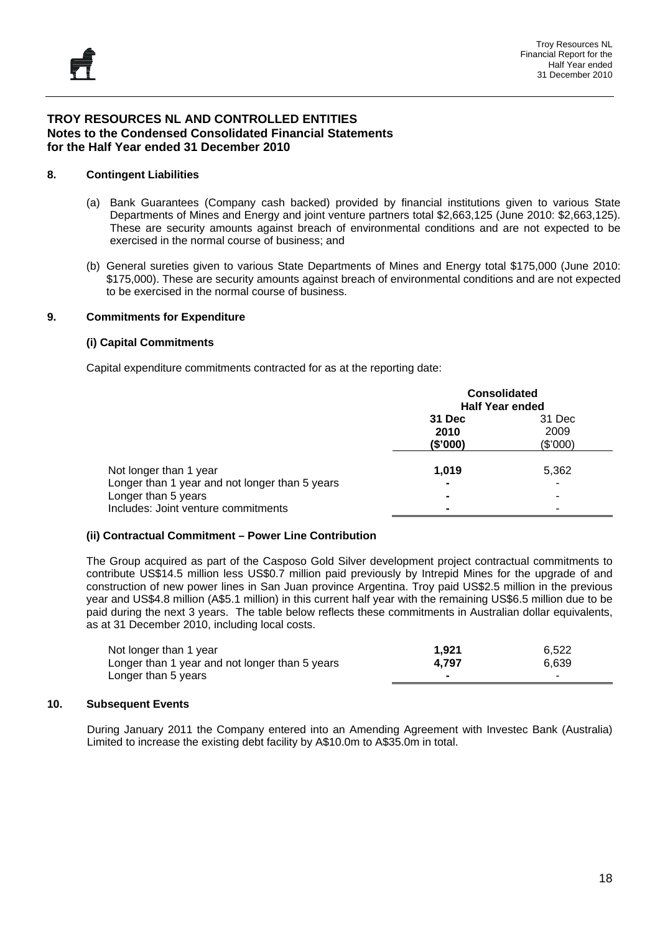#### **8. Contingent Liabilities**

- (a) Bank Guarantees (Company cash backed) provided by financial institutions given to various State Departments of Mines and Energy and joint venture partners total \$2,663,125 (June 2010: \$2,663,125). These are security amounts against breach of environmental conditions and are not expected to be exercised in the normal course of business; and
- (b) General sureties given to various State Departments of Mines and Energy total \$175,000 (June 2010: \$175,000). These are security amounts against breach of environmental conditions and are not expected to be exercised in the normal course of business.

#### **9. Commitments for Expenditure**

#### **(i) Capital Commitments**

Capital expenditure commitments contracted for as at the reporting date:

|                                                | <b>Consolidated</b><br><b>Half Year ended</b> |                  |  |
|------------------------------------------------|-----------------------------------------------|------------------|--|
|                                                | 31 Dec                                        | 31 Dec           |  |
|                                                | 2010<br>(\$'000)                              | 2009<br>(\$'000) |  |
| Not longer than 1 year                         | 1,019                                         | 5,362            |  |
| Longer than 1 year and not longer than 5 years | $\blacksquare$                                | ۰                |  |
| Longer than 5 years                            | $\blacksquare$                                | ۰                |  |
| Includes: Joint venture commitments            |                                               | -                |  |

#### **(ii) Contractual Commitment – Power Line Contribution**

The Group acquired as part of the Casposo Gold Silver development project contractual commitments to contribute US\$14.5 million less US\$0.7 million paid previously by Intrepid Mines for the upgrade of and construction of new power lines in San Juan province Argentina. Troy paid US\$2.5 million in the previous year and US\$4.8 million (A\$5.1 million) in this current half year with the remaining US\$6.5 million due to be paid during the next 3 years. The table below reflects these commitments in Australian dollar equivalents, as at 31 December 2010, including local costs.

| Not longer than 1 year                         | 1.921 | 6.522                    |
|------------------------------------------------|-------|--------------------------|
| Longer than 1 year and not longer than 5 years | 4.797 | 6.639                    |
| Longer than 5 years                            |       | $\overline{\phantom{a}}$ |

#### **10. Subsequent Events**

During January 2011 the Company entered into an Amending Agreement with Investec Bank (Australia) Limited to increase the existing debt facility by A\$10.0m to A\$35.0m in total.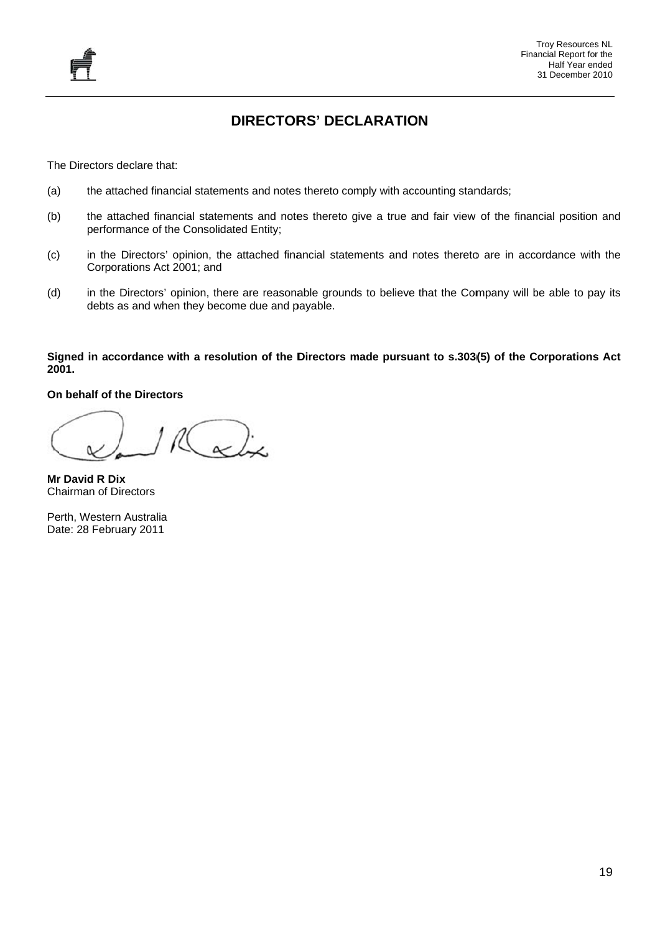#### **DIRECTORS' DECLARATION**

The Directors declare that:

- (a) ) the attached financial statements and notes thereto comply with accounting standards;
- (b) ) the attached financial statements and notes thereto give a true and fair view of the financial position and performance of the Consolidated Entity;
- (c) ) in the Directors' opinion, the attached financial statements and notes thereto are in accordance with the Corporations Act 2001; and
- (d) ) in the Directors' opinion, there are reasonable grounds to believe that the Company will be able to pay its debts as and when they become due and payable.

# Signed in accordance with a resolution of the Directors made pursuant to s.303(5) of the Corporations Act **20 01. DIRECTOR**<br>
cial statements and notes<br>
e Consolidated Entity;<br>
ppinion, the attached finar<br>
e 2001; and<br>
pinion, there are reasonal<br>
in they become due and pa<br> **ith a resolution of the D**<br>
s

#### **On n behalf of t he Directors**

 $\alpha$ 

**Mr r David R Di x**  Ch hairman of D irectors

Perth, Western Australia Date: 28 February 2011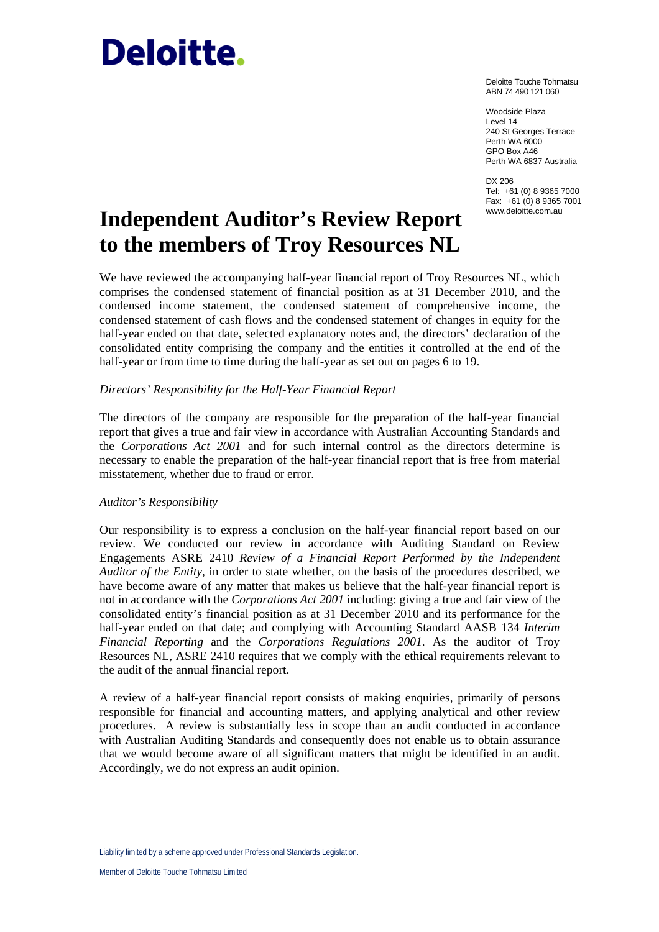# Deloitte.

Deloitte Touche Tohmatsu ABN 74 490 121 060

Woodside Plaza Level 14 240 St Georges Terrace Perth WA 6000 GPO Box A46 Perth WA 6837 Australia

DX 206 Tel: +61 (0) 8 9365 7000 Fax: +61 (0) 8 9365 7001 www.deloitte.com.au

## **Independent Auditor's Review Report to the members of Troy Resources NL**

We have reviewed the accompanying half-year financial report of Troy Resources NL, which comprises the condensed statement of financial position as at 31 December 2010, and the condensed income statement, the condensed statement of comprehensive income, the condensed statement of cash flows and the condensed statement of changes in equity for the half-year ended on that date, selected explanatory notes and, the directors' declaration of the consolidated entity comprising the company and the entities it controlled at the end of the half-year or from time to time during the half-year as set out on pages 6 to 19.

#### *Directors' Responsibility for the Half-Year Financial Report*

The directors of the company are responsible for the preparation of the half-year financial report that gives a true and fair view in accordance with Australian Accounting Standards and the *Corporations Act 2001* and for such internal control as the directors determine is necessary to enable the preparation of the half-year financial report that is free from material misstatement, whether due to fraud or error.

#### *Auditor's Responsibility*

Our responsibility is to express a conclusion on the half-year financial report based on our review. We conducted our review in accordance with Auditing Standard on Review Engagements ASRE 2410 *Review of a Financial Report Performed by the Independent Auditor of the Entity*, in order to state whether, on the basis of the procedures described, we have become aware of any matter that makes us believe that the half-year financial report is not in accordance with the *Corporations Act 2001* including: giving a true and fair view of the consolidated entity's financial position as at 31 December 2010 and its performance for the half-year ended on that date; and complying with Accounting Standard AASB 134 *Interim Financial Reporting* and the *Corporations Regulations 2001*. As the auditor of Troy Resources NL, ASRE 2410 requires that we comply with the ethical requirements relevant to the audit of the annual financial report.

A review of a half-year financial report consists of making enquiries, primarily of persons responsible for financial and accounting matters, and applying analytical and other review procedures. A review is substantially less in scope than an audit conducted in accordance with Australian Auditing Standards and consequently does not enable us to obtain assurance that we would become aware of all significant matters that might be identified in an audit. Accordingly, we do not express an audit opinion.

Liability limited by a scheme approved under Professional Standards Legislation.